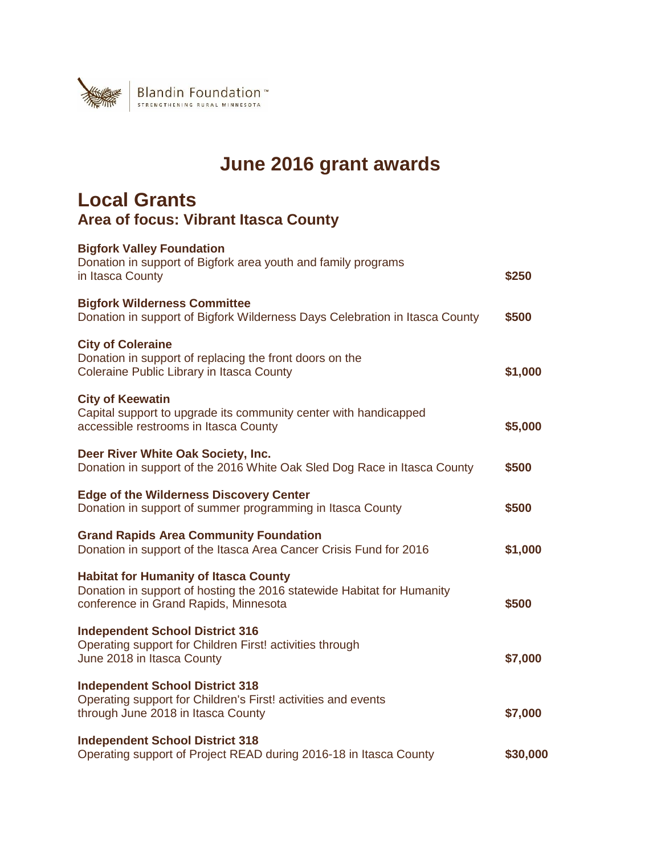

# **June 2016 grant awards**

### **Local Grants Area of focus: Vibrant Itasca County**

| <b>Bigfork Valley Foundation</b><br>Donation in support of Bigfork area youth and family programs<br>in Itasca County                                           | \$250    |
|-----------------------------------------------------------------------------------------------------------------------------------------------------------------|----------|
| <b>Bigfork Wilderness Committee</b><br>Donation in support of Bigfork Wilderness Days Celebration in Itasca County                                              | \$500    |
| <b>City of Coleraine</b><br>Donation in support of replacing the front doors on the<br>Coleraine Public Library in Itasca County                                | \$1,000  |
| <b>City of Keewatin</b><br>Capital support to upgrade its community center with handicapped<br>accessible restrooms in Itasca County                            | \$5,000  |
| Deer River White Oak Society, Inc.<br>Donation in support of the 2016 White Oak Sled Dog Race in Itasca County                                                  | \$500    |
| <b>Edge of the Wilderness Discovery Center</b><br>Donation in support of summer programming in Itasca County                                                    | \$500    |
| <b>Grand Rapids Area Community Foundation</b><br>Donation in support of the Itasca Area Cancer Crisis Fund for 2016                                             | \$1,000  |
| <b>Habitat for Humanity of Itasca County</b><br>Donation in support of hosting the 2016 statewide Habitat for Humanity<br>conference in Grand Rapids, Minnesota | \$500    |
| <b>Independent School District 316</b><br>Operating support for Children First! activities through<br>June 2018 in Itasca County                                | \$7,000  |
| <b>Independent School District 318</b><br>Operating support for Children's First! activities and events<br>through June 2018 in Itasca County                   | \$7,000  |
| <b>Independent School District 318</b><br>Operating support of Project READ during 2016-18 in Itasca County                                                     | \$30,000 |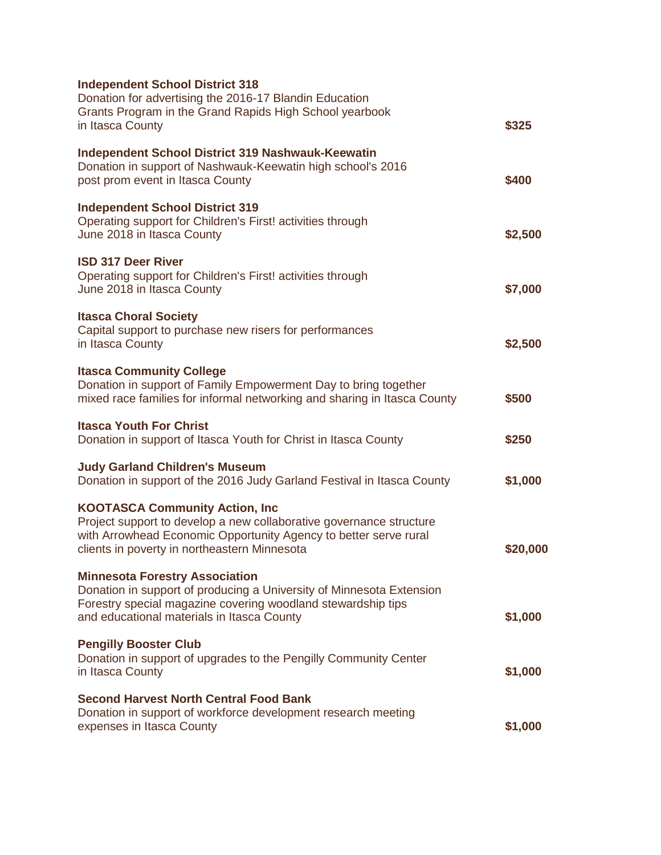| <b>Independent School District 318</b><br>Donation for advertising the 2016-17 Blandin Education<br>Grants Program in the Grand Rapids High School yearbook<br>in Itasca County                                                   | \$325    |
|-----------------------------------------------------------------------------------------------------------------------------------------------------------------------------------------------------------------------------------|----------|
| <b>Independent School District 319 Nashwauk-Keewatin</b><br>Donation in support of Nashwauk-Keewatin high school's 2016<br>post prom event in Itasca County                                                                       | \$400    |
| <b>Independent School District 319</b><br>Operating support for Children's First! activities through<br>June 2018 in Itasca County                                                                                                | \$2,500  |
| <b>ISD 317 Deer River</b><br>Operating support for Children's First! activities through<br>June 2018 in Itasca County                                                                                                             | \$7,000  |
| <b>Itasca Choral Society</b><br>Capital support to purchase new risers for performances<br>in Itasca County                                                                                                                       | \$2,500  |
| <b>Itasca Community College</b><br>Donation in support of Family Empowerment Day to bring together<br>mixed race families for informal networking and sharing in Itasca County                                                    | \$500    |
| <b>Itasca Youth For Christ</b><br>Donation in support of Itasca Youth for Christ in Itasca County                                                                                                                                 | \$250    |
| <b>Judy Garland Children's Museum</b><br>Donation in support of the 2016 Judy Garland Festival in Itasca County                                                                                                                   | \$1,000  |
| <b>KOOTASCA Community Action, Inc.</b><br>Project support to develop a new collaborative governance structure<br>with Arrowhead Economic Opportunity Agency to better serve rural<br>clients in poverty in northeastern Minnesota | \$20,000 |
| <b>Minnesota Forestry Association</b><br>Donation in support of producing a University of Minnesota Extension<br>Forestry special magazine covering woodland stewardship tips<br>and educational materials in Itasca County       | \$1,000  |
| <b>Pengilly Booster Club</b><br>Donation in support of upgrades to the Pengilly Community Center<br>in Itasca County                                                                                                              | \$1,000  |
| <b>Second Harvest North Central Food Bank</b><br>Donation in support of workforce development research meeting<br>expenses in Itasca County                                                                                       | \$1,000  |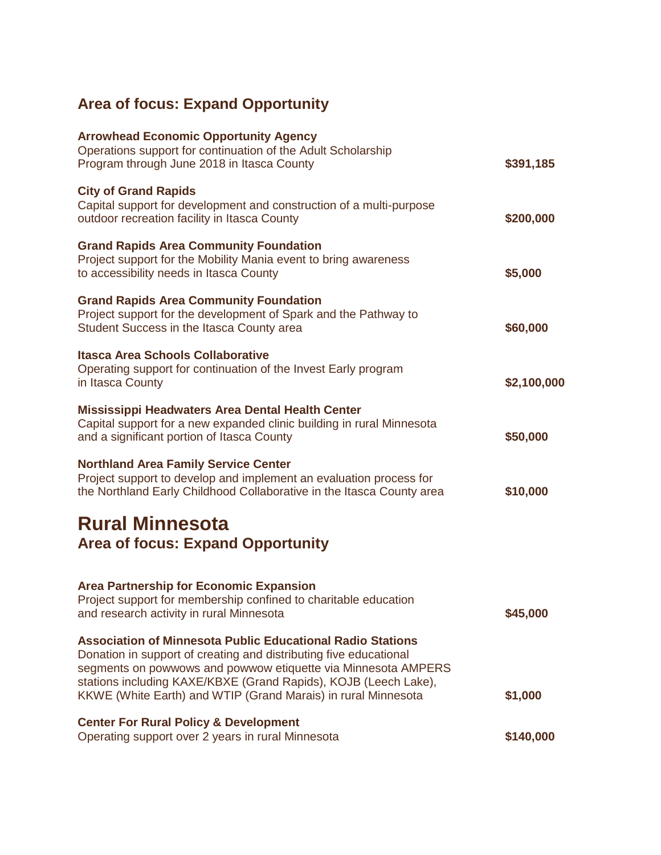# **Area of focus: Expand Opportunity**

| <b>Arrowhead Economic Opportunity Agency</b><br>Operations support for continuation of the Adult Scholarship<br>Program through June 2018 in Itasca County                                                                                                                                                                                  | \$391,185   |
|---------------------------------------------------------------------------------------------------------------------------------------------------------------------------------------------------------------------------------------------------------------------------------------------------------------------------------------------|-------------|
| <b>City of Grand Rapids</b><br>Capital support for development and construction of a multi-purpose<br>outdoor recreation facility in Itasca County                                                                                                                                                                                          | \$200,000   |
| <b>Grand Rapids Area Community Foundation</b><br>Project support for the Mobility Mania event to bring awareness<br>to accessibility needs in Itasca County                                                                                                                                                                                 | \$5,000     |
| <b>Grand Rapids Area Community Foundation</b><br>Project support for the development of Spark and the Pathway to<br>Student Success in the Itasca County area                                                                                                                                                                               | \$60,000    |
| <b>Itasca Area Schools Collaborative</b><br>Operating support for continuation of the Invest Early program<br>in Itasca County                                                                                                                                                                                                              | \$2,100,000 |
| Mississippi Headwaters Area Dental Health Center<br>Capital support for a new expanded clinic building in rural Minnesota<br>and a significant portion of Itasca County                                                                                                                                                                     | \$50,000    |
| <b>Northland Area Family Service Center</b><br>Project support to develop and implement an evaluation process for<br>the Northland Early Childhood Collaborative in the Itasca County area                                                                                                                                                  | \$10,000    |
| <b>Rural Minnesota</b><br><b>Area of focus: Expand Opportunity</b>                                                                                                                                                                                                                                                                          |             |
| <b>Area Partnership for Economic Expansion</b><br>Project support for membership confined to charitable education<br>and research activity in rural Minnesota                                                                                                                                                                               | \$45,000    |
| <b>Association of Minnesota Public Educational Radio Stations</b><br>Donation in support of creating and distributing five educational<br>segments on powwows and powwow etiquette via Minnesota AMPERS<br>stations including KAXE/KBXE (Grand Rapids), KOJB (Leech Lake),<br>KKWE (White Earth) and WTIP (Grand Marais) in rural Minnesota | \$1,000     |
| <b>Center For Rural Policy &amp; Development</b><br>Operating support over 2 years in rural Minnesota                                                                                                                                                                                                                                       | \$140,000   |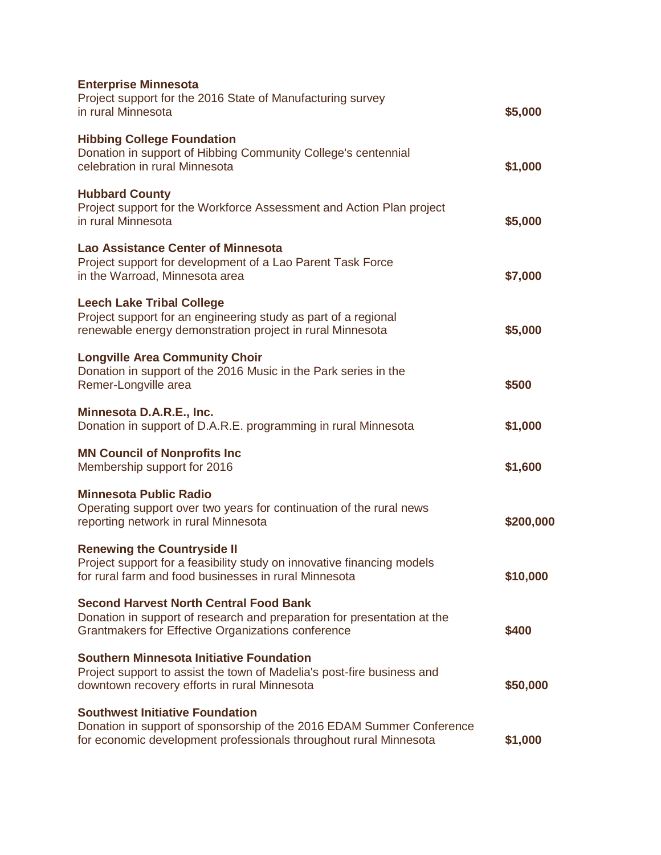| <b>Enterprise Minnesota</b><br>Project support for the 2016 State of Manufacturing survey<br>in rural Minnesota                                                                      | \$5,000   |
|--------------------------------------------------------------------------------------------------------------------------------------------------------------------------------------|-----------|
| <b>Hibbing College Foundation</b><br>Donation in support of Hibbing Community College's centennial<br>celebration in rural Minnesota                                                 | \$1,000   |
| <b>Hubbard County</b><br>Project support for the Workforce Assessment and Action Plan project<br>in rural Minnesota                                                                  | \$5,000   |
| <b>Lao Assistance Center of Minnesota</b><br>Project support for development of a Lao Parent Task Force<br>in the Warroad, Minnesota area                                            | \$7,000   |
| <b>Leech Lake Tribal College</b><br>Project support for an engineering study as part of a regional<br>renewable energy demonstration project in rural Minnesota                      | \$5,000   |
| <b>Longville Area Community Choir</b><br>Donation in support of the 2016 Music in the Park series in the<br>Remer-Longville area                                                     | \$500     |
| Minnesota D.A.R.E., Inc.<br>Donation in support of D.A.R.E. programming in rural Minnesota                                                                                           | \$1,000   |
| <b>MN Council of Nonprofits Inc</b><br>Membership support for 2016                                                                                                                   | \$1,600   |
| <b>Minnesota Public Radio</b><br>Operating support over two years for continuation of the rural news<br>reporting network in rural Minnesota                                         | \$200,000 |
| <b>Renewing the Countryside II</b><br>Project support for a feasibility study on innovative financing models<br>for rural farm and food businesses in rural Minnesota                | \$10,000  |
| <b>Second Harvest North Central Food Bank</b><br>Donation in support of research and preparation for presentation at the<br>Grantmakers for Effective Organizations conference       | \$400     |
| <b>Southern Minnesota Initiative Foundation</b><br>Project support to assist the town of Madelia's post-fire business and<br>downtown recovery efforts in rural Minnesota            | \$50,000  |
| <b>Southwest Initiative Foundation</b><br>Donation in support of sponsorship of the 2016 EDAM Summer Conference<br>for economic development professionals throughout rural Minnesota | \$1,000   |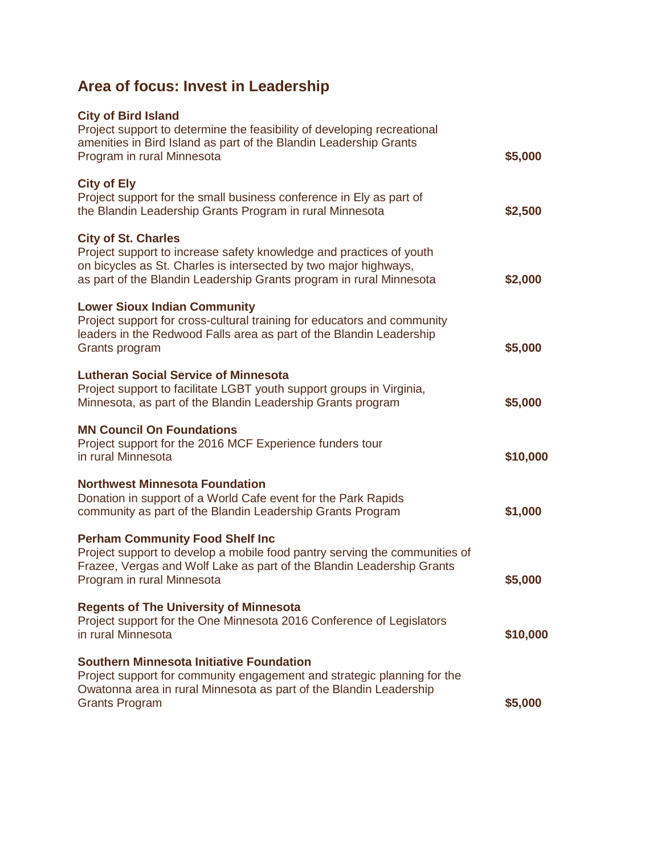## **Area of focus: Invest in Leadership**

| <b>City of Bird Island</b><br>Project support to determine the feasibility of developing recreational<br>amenities in Bird Island as part of the Blandin Leadership Grants<br>Program in rural Minnesota                                     | \$5,000  |
|----------------------------------------------------------------------------------------------------------------------------------------------------------------------------------------------------------------------------------------------|----------|
| <b>City of Ely</b><br>Project support for the small business conference in Ely as part of<br>the Blandin Leadership Grants Program in rural Minnesota                                                                                        | \$2,500  |
| <b>City of St. Charles</b><br>Project support to increase safety knowledge and practices of youth<br>on bicycles as St. Charles is intersected by two major highways,<br>as part of the Blandin Leadership Grants program in rural Minnesota | \$2,000  |
| <b>Lower Sioux Indian Community</b><br>Project support for cross-cultural training for educators and community<br>leaders in the Redwood Falls area as part of the Blandin Leadership<br>Grants program                                      | \$5,000  |
| <b>Lutheran Social Service of Minnesota</b><br>Project support to facilitate LGBT youth support groups in Virginia,<br>Minnesota, as part of the Blandin Leadership Grants program                                                           | \$5,000  |
| <b>MN Council On Foundations</b><br>Project support for the 2016 MCF Experience funders tour<br>in rural Minnesota                                                                                                                           | \$10,000 |
| <b>Northwest Minnesota Foundation</b><br>Donation in support of a World Cafe event for the Park Rapids<br>community as part of the Blandin Leadership Grants Program                                                                         | \$1,000  |
| <b>Perham Community Food Shelf Inc</b><br>Project support to develop a mobile food pantry serving the communities of<br>Frazee, Vergas and Wolf Lake as part of the Blandin Leadership Grants<br>Program in rural Minnesota                  | \$5,000  |
| <b>Regents of The University of Minnesota</b><br>Project support for the One Minnesota 2016 Conference of Legislators<br>in rural Minnesota                                                                                                  | \$10,000 |
| <b>Southern Minnesota Initiative Foundation</b><br>Project support for community engagement and strategic planning for the<br>Owatonna area in rural Minnesota as part of the Blandin Leadership<br><b>Grants Program</b>                    | \$5,000  |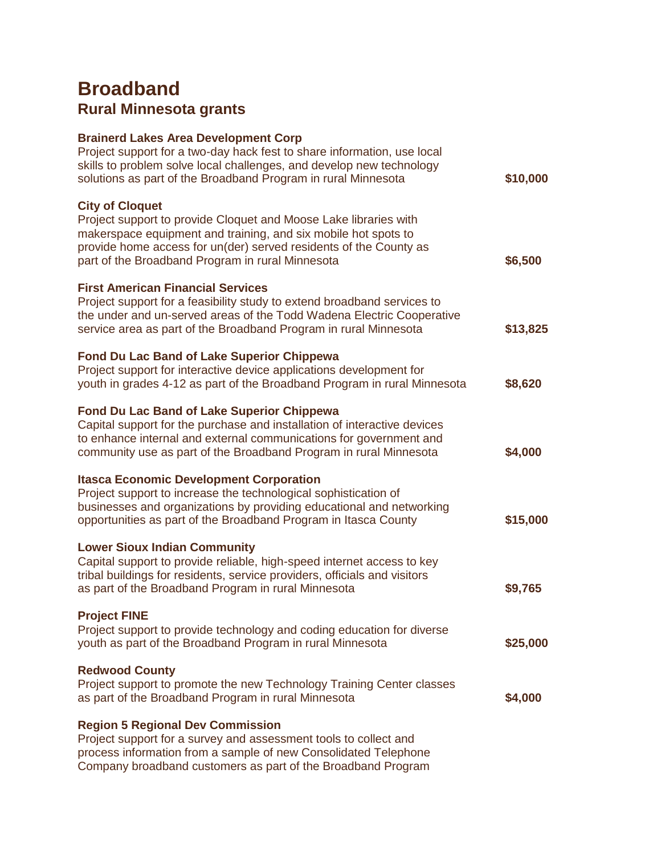## **Broadband Rural Minnesota grants**

#### **Brainerd Lakes Area Development Corp**

| Project support for a two-day hack fest to share information, use local<br>skills to problem solve local challenges, and develop new technology<br>solutions as part of the Broadband Program in rural Minnesota                                                                      | \$10,000 |
|---------------------------------------------------------------------------------------------------------------------------------------------------------------------------------------------------------------------------------------------------------------------------------------|----------|
| <b>City of Cloquet</b><br>Project support to provide Cloquet and Moose Lake libraries with<br>makerspace equipment and training, and six mobile hot spots to<br>provide home access for un(der) served residents of the County as<br>part of the Broadband Program in rural Minnesota | \$6,500  |
| <b>First American Financial Services</b><br>Project support for a feasibility study to extend broadband services to<br>the under and un-served areas of the Todd Wadena Electric Cooperative<br>service area as part of the Broadband Program in rural Minnesota                      | \$13,825 |
| <b>Fond Du Lac Band of Lake Superior Chippewa</b><br>Project support for interactive device applications development for<br>youth in grades 4-12 as part of the Broadband Program in rural Minnesota                                                                                  | \$8,620  |
| <b>Fond Du Lac Band of Lake Superior Chippewa</b><br>Capital support for the purchase and installation of interactive devices<br>to enhance internal and external communications for government and<br>community use as part of the Broadband Program in rural Minnesota              | \$4,000  |
| <b>Itasca Economic Development Corporation</b><br>Project support to increase the technological sophistication of<br>businesses and organizations by providing educational and networking<br>opportunities as part of the Broadband Program in Itasca County                          | \$15,000 |
| <b>Lower Sioux Indian Community</b><br>Capital support to provide reliable, high-speed internet access to key<br>tribal buildings for residents, service providers, officials and visitors<br>as part of the Broadband Program in rural Minnesota                                     | \$9,765  |
| <b>Project FINE</b><br>Project support to provide technology and coding education for diverse<br>youth as part of the Broadband Program in rural Minnesota                                                                                                                            | \$25,000 |
| <b>Redwood County</b><br>Project support to promote the new Technology Training Center classes<br>as part of the Broadband Program in rural Minnesota                                                                                                                                 | \$4,000  |
| <b>Region 5 Regional Dev Commission</b><br>Project support for a survey and assessment tools to collect and<br>process information from a sample of new Consolidated Telephone<br>Company broadband customers as part of the Broadband Program                                        |          |